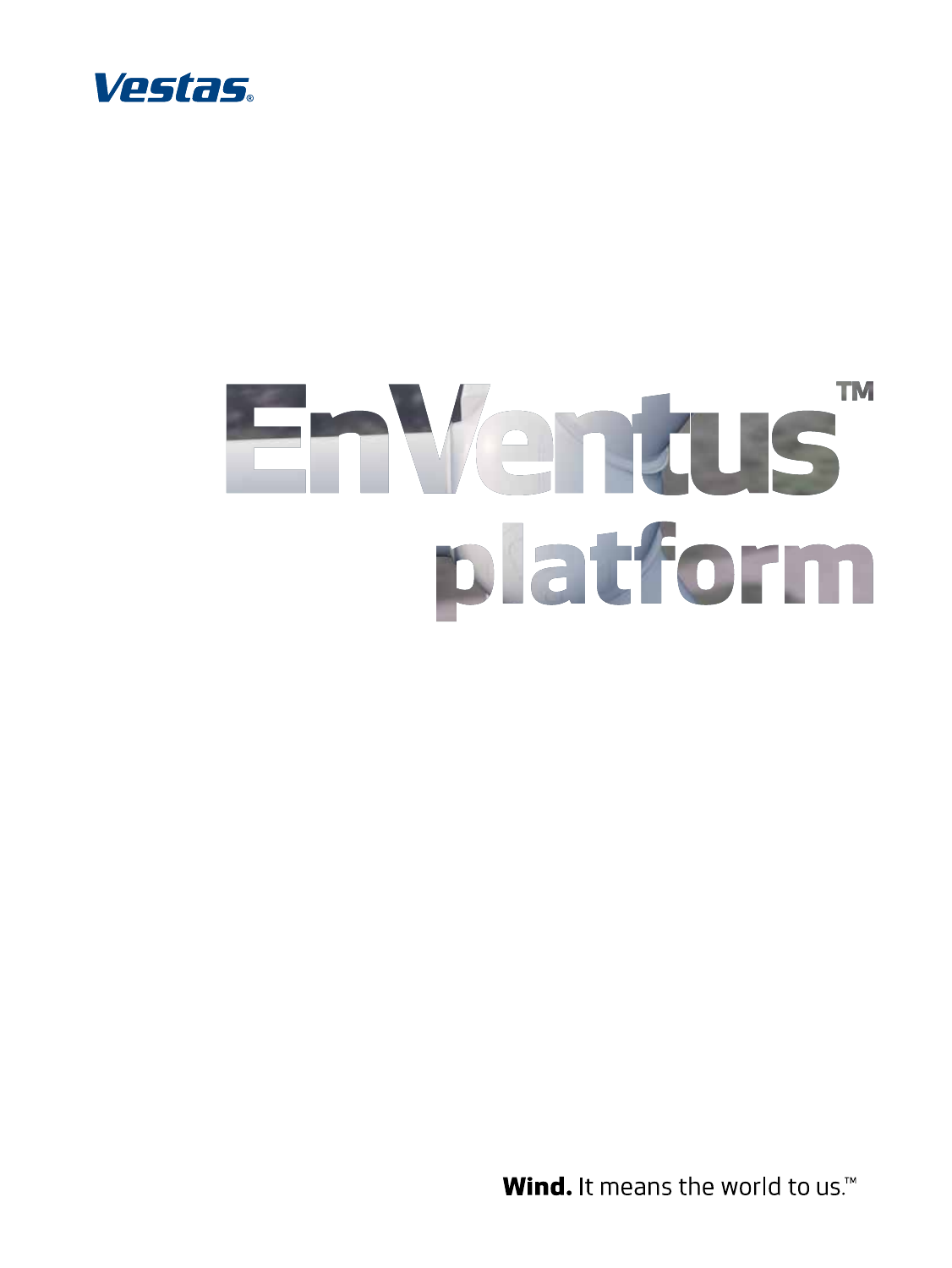

# **TM** EnVentus platform

Wind. It means the world to us.<sup>14</sup>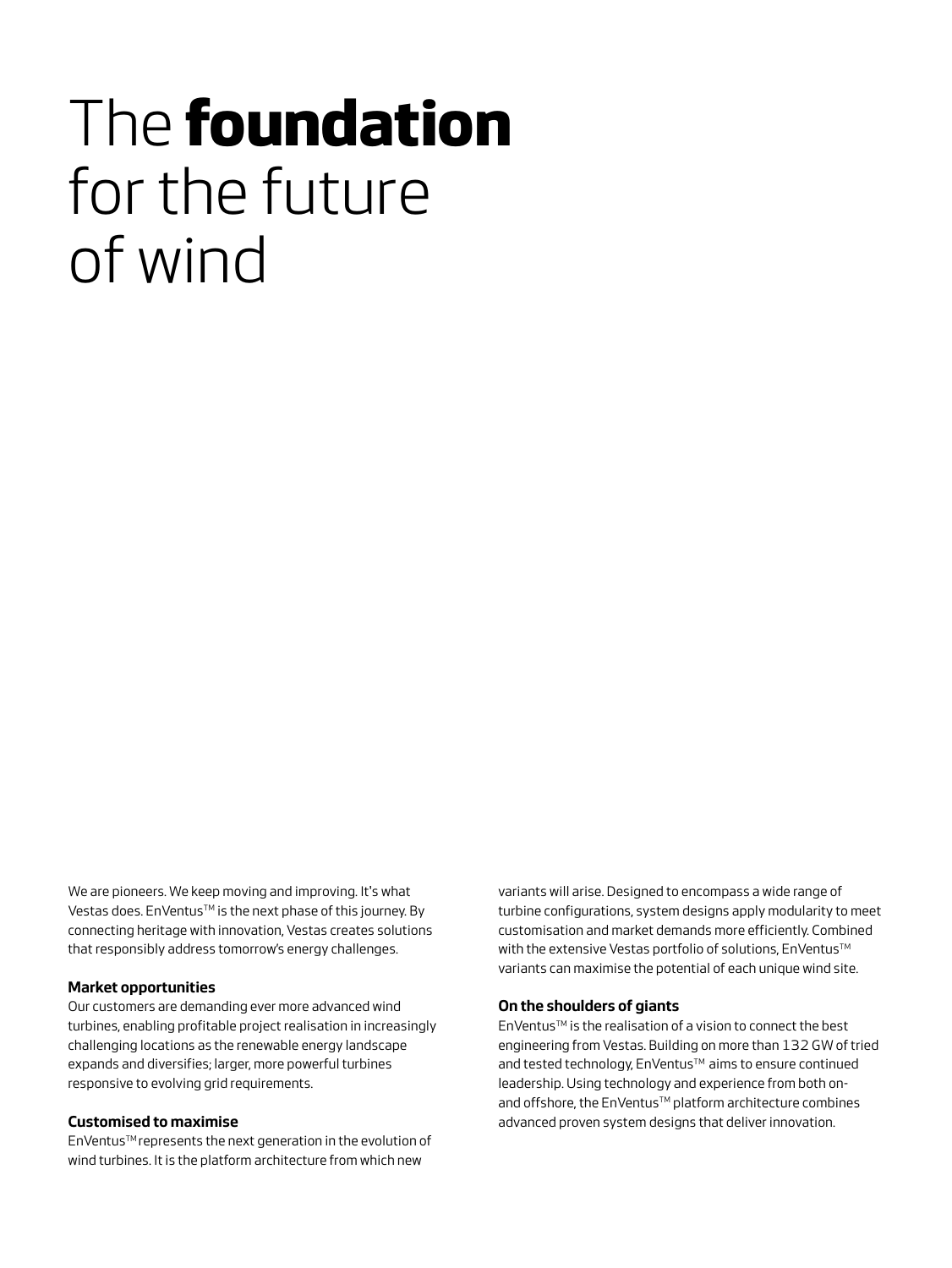# The **foundation** for the future of wind

We are pioneers. We keep moving and improving. It's what Vestas does. En Ventus™ is the next phase of this journey. By connecting heritage with innovation, Vestas creates solutions that responsibly address tomorrow's energy challenges.

#### **Market opportunities**

Our customers are demanding ever more advanced wind turbines, enabling profitable project realisation in increasingly challenging locations as the renewable energy landscape expands and diversifies; larger, more powerful turbines responsive to evolving grid requirements.

#### **Customised to maximise**

EnVentus™ represents the next generation in the evolution of wind turbines. It is the platform architecture from which new

variants will arise. Designed to encompass a wide range of turbine configurations, system designs apply modularity to meet customisation and market demands more efficiently. Combined with the extensive Vestas portfolio of solutions, EnVentus™ variants can maximise the potential of each unique wind site.

#### **On the shoulders of giants**

EnVentusTM is the realisation of a vision to connect the best engineering from Vestas. Building on more than 132 GW of tried and tested technology, EnVentus™ aims to ensure continued leadership. Using technology and experience from both onand offshore, the EnVentus™ platform architecture combines advanced proven system designs that deliver innovation.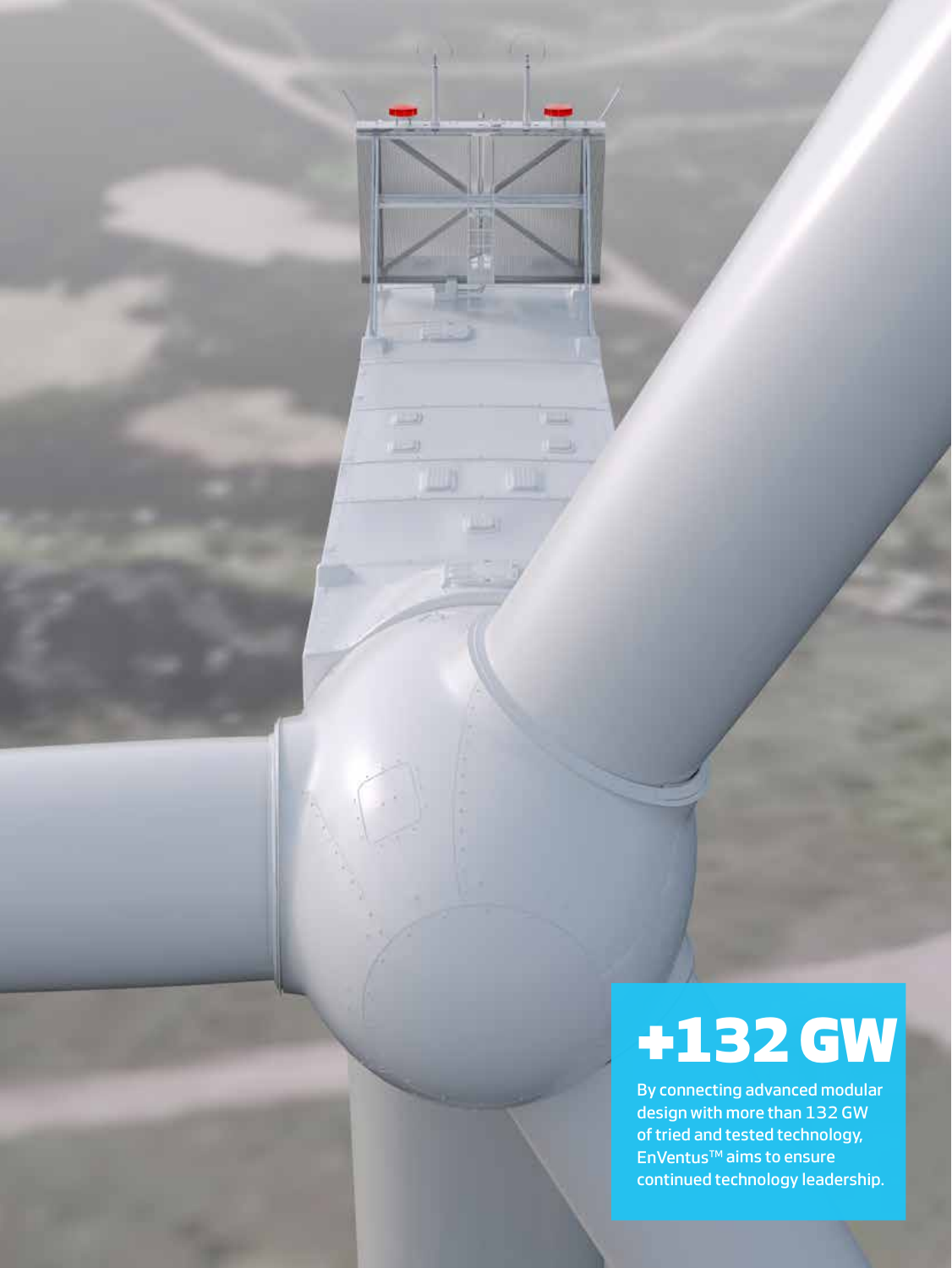# **+132 GW**

 $\mathbb{R}$ 

 $\Box$ 

w

**LET** L)

W

**Links** 

By connecting advanced modular design with more than 132 GW of tried and tested technology, EnVentus™ aims to ensure continued technology leadership.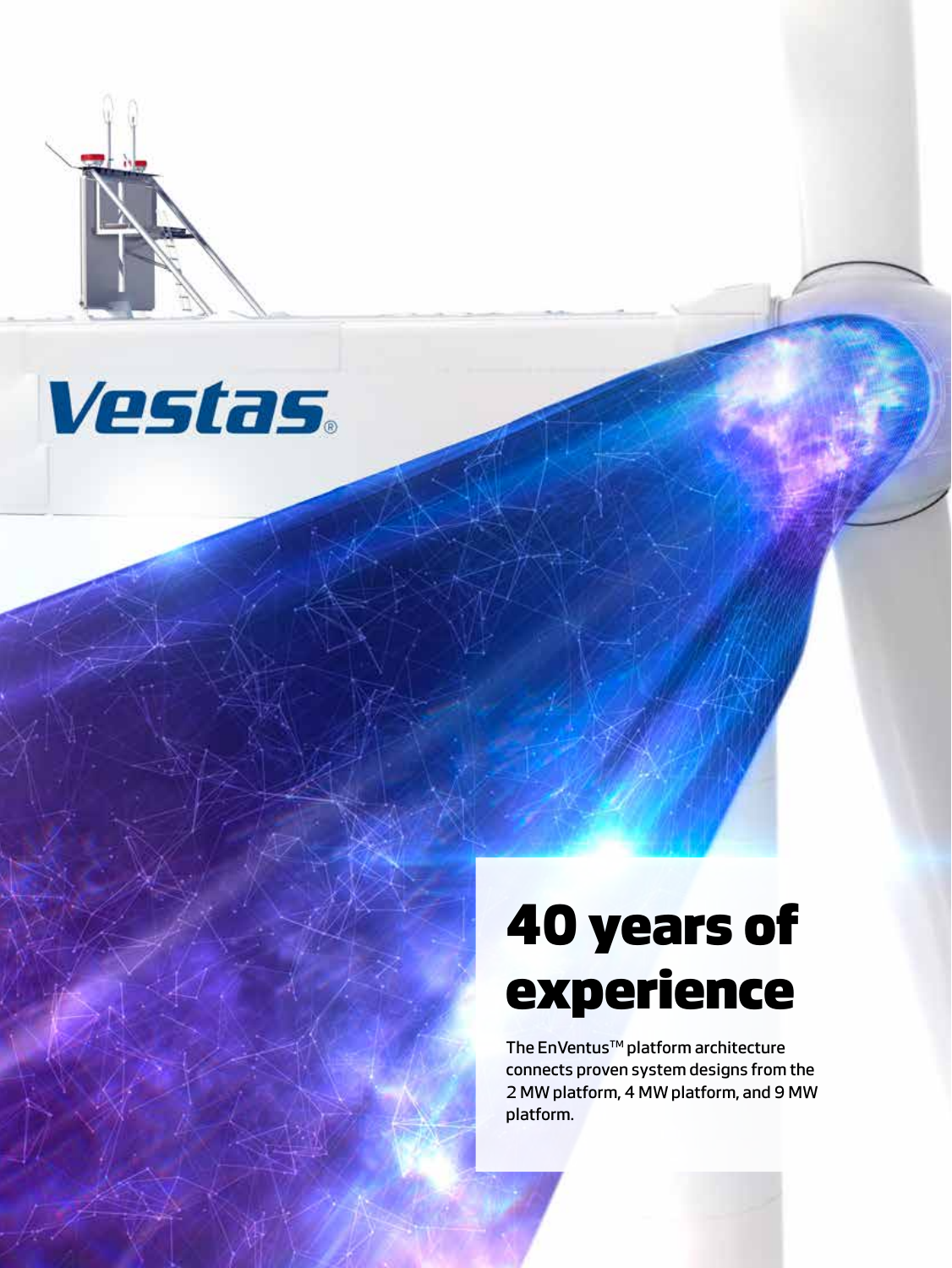



# **40 years of experience**

The EnVentus<sup>™</sup> platform architecture connects proven system designs from the 2 MW platform, 4 MW platform, and 9 MW platform.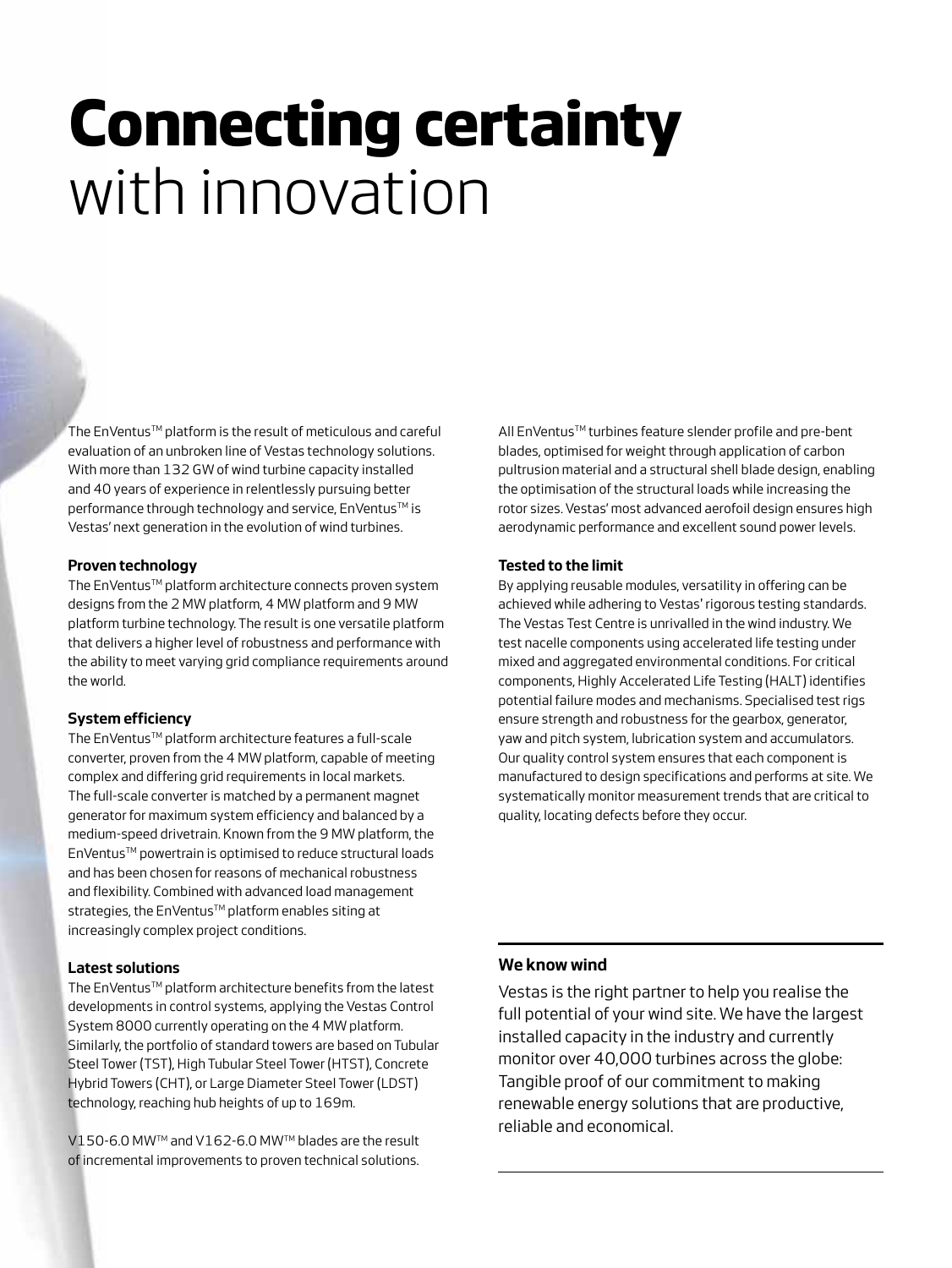# **Connecting certainty** with innovation

The EnVentus™ platform is the result of meticulous and careful evaluation of an unbroken line of Vestas technology solutions. With more than 132 GW of wind turbine capacity installed and 40 years of experience in relentlessly pursuing better performance through technology and service, EnVentus™ is Vestas' next generation in the evolution of wind turbines.

### **Proven technology**

The EnVentus™ platform architecture connects proven system designs from the 2 MW platform, 4 MW platform and 9 MW platform turbine technology. The result is one versatile platform that delivers a higher level of robustness and performance with the ability to meet varying grid compliance requirements around the world.

### **System efficiency**

The EnVentus™ platform architecture features a full-scale converter, proven from the 4 MW platform, capable of meeting complex and differing grid requirements in local markets. The full-scale converter is matched by a permanent magnet generator for maximum system efficiency and balanced by a medium-speed drivetrain. Known from the 9 MW platform, the EnVentus™ powertrain is optimised to reduce structural loads and has been chosen for reasons of mechanical robustness and flexibility. Combined with advanced load management strategies, the EnVentus™ platform enables siting at increasingly complex project conditions.

#### **Latest solutions**

The EnVentus™ platform architecture benefits from the latest developments in control systems, applying the Vestas Control System 8000 currently operating on the 4 MW platform. Similarly, the portfolio of standard towers are based on Tubular Steel Tower (TST), High Tubular Steel Tower (HTST), Concrete Hybrid Towers (CHT), or Large Diameter Steel Tower (LDST) technology, reaching hub heights of up to 169m.

V150-6.0 MW™ and V162-6.0 MW™ blades are the result of incremental improvements to proven technical solutions. All EnVentus™ turbines feature slender profile and pre-bent blades, optimised for weight through application of carbon pultrusion material and a structural shell blade design, enabling the optimisation of the structural loads while increasing the rotor sizes. Vestas' most advanced aerofoil design ensures high aerodynamic performance and excellent sound power levels.

### **Tested to the limit**

By applying reusable modules, versatility in offering can be achieved while adhering to Vestas' rigorous testing standards. The Vestas Test Centre is unrivalled in the wind industry. We test nacelle components using accelerated life testing under mixed and aggregated environmental conditions. For critical components, Highly Accelerated Life Testing (HALT) identifies potential failure modes and mechanisms. Specialised test rigs ensure strength and robustness for the gearbox, generator, yaw and pitch system, lubrication system and accumulators. Our quality control system ensures that each component is manufactured to design specifications and performs at site. We systematically monitor measurement trends that are critical to quality, locating defects before they occur.

### **We know wind**

Vestas is the right partner to help you realise the full potential of your wind site. We have the largest installed capacity in the industry and currently monitor over 40,000 turbines across the globe: Tangible proof of our commitment to making renewable energy solutions that are productive, reliable and economical.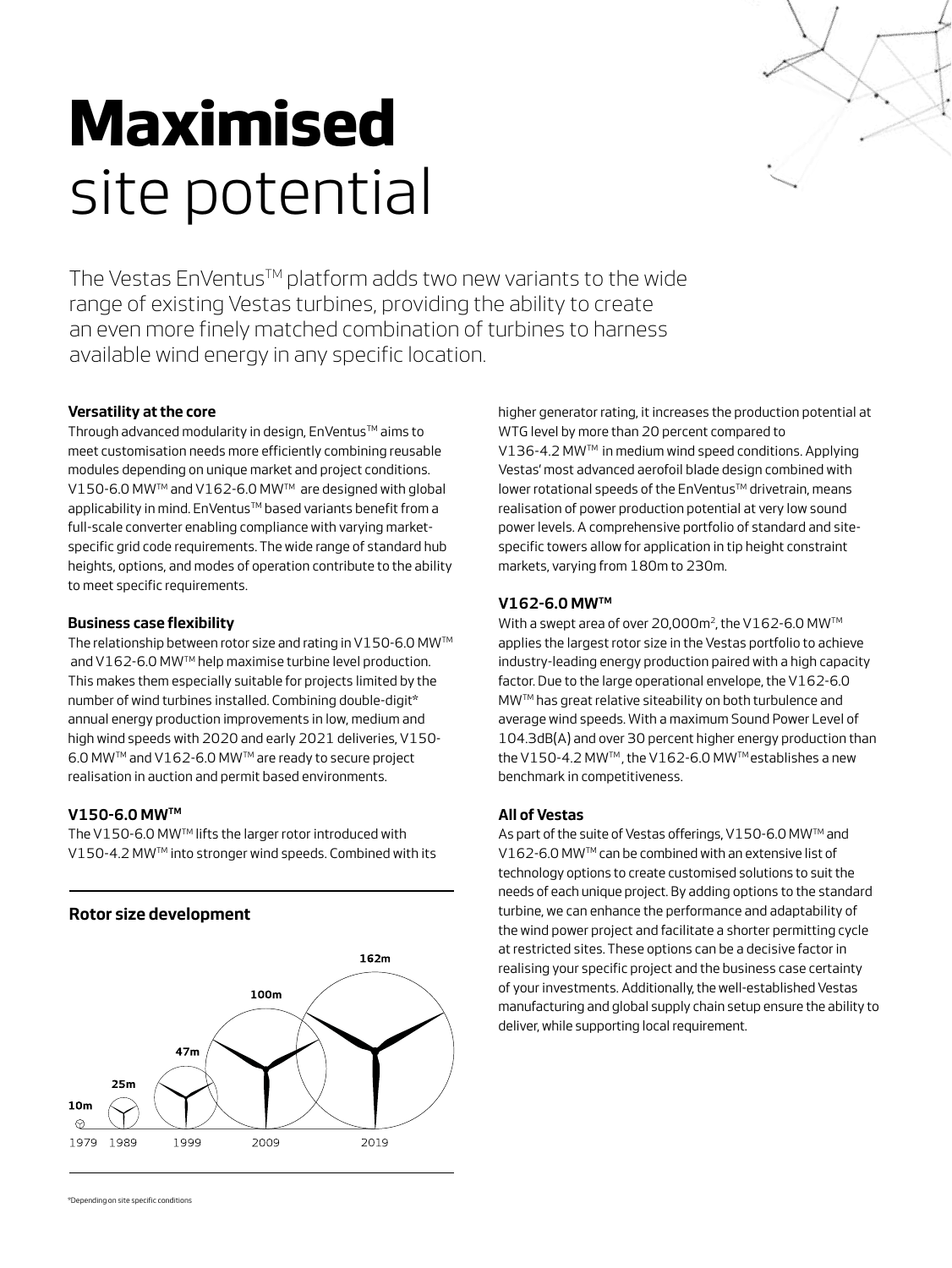

# **Maximised**  site potential

The Vestas EnVentus™ platform adds two new variants to the wide range of existing Vestas turbines, providing the ability to create an even more finely matched combination of turbines to harness available wind energy in any specific location.

# **Versatility at the core**

Through advanced modularity in design, EnVentus™ aims to meet customisation needs more efficiently combining reusable modules depending on unique market and project conditions. V150-6.0 MW™ and V162-6.0 MW™ are designed with global applicability in mind. EnVentus™ based variants benefit from a full-scale converter enabling compliance with varying marketspecific grid code requirements. The wide range of standard hub heights, options, and modes of operation contribute to the ability to meet specific requirements.

# **Business case flexibility**

The relationship between rotor size and rating in V150-6.0 MW™ and V162-6.0 MW™ help maximise turbine level production. This makes them especially suitable for projects limited by the number of wind turbines installed. Combining double-digit\* annual energy production improvements in low, medium and high wind speeds with 2020 and early 2021 deliveries, V150- 6.0 MWTM and V162-6.0 MWTM are ready to secure project realisation in auction and permit based environments.

# **V150-6.0 MWTM**

The V150-6.0 MWTM lifts the larger rotor introduced with V150-4.2 MW™ into stronger wind speeds. Combined with its

# **Rotor size development**



higher generator rating, it increases the production potential at WTG level by more than 20 percent compared to V136-4.2 MW™ in medium wind speed conditions. Applying Vestas' most advanced aerofoil blade design combined with lower rotational speeds of the EnVentus™ drivetrain, means realisation of power production potential at very low sound power levels. A comprehensive portfolio of standard and sitespecific towers allow for application in tip height constraint markets, varying from 180m to 230m.

## **V162-6.0 MWTM**

With a swept area of over 20,000m<sup>2</sup>, the V162-6.0 MW<sup>™</sup> applies the largest rotor size in the Vestas portfolio to achieve industry-leading energy production paired with a high capacity factor. Due to the large operational envelope, the V162-6.0 MWTM has great relative siteability on both turbulence and average wind speeds. With a maximum Sound Power Level of 104.3dB(A) and over 30 percent higher energy production than the V150-4.2 MW™, the V162-6.0 MW™ establishes a new benchmark in competitiveness.

### **All of Vestas**

As part of the suite of Vestas offerings, V150-6.0 MW™ and V162-6.0 MW™ can be combined with an extensive list of technology options to create customised solutions to suit the needs of each unique project. By adding options to the standard turbine, we can enhance the performance and adaptability of the wind power project and facilitate a shorter permitting cycle at restricted sites. These options can be a decisive factor in realising your specific project and the business case certainty of your investments. Additionally, the well-established Vestas manufacturing and global supply chain setup ensure the ability to deliver, while supporting local requirement.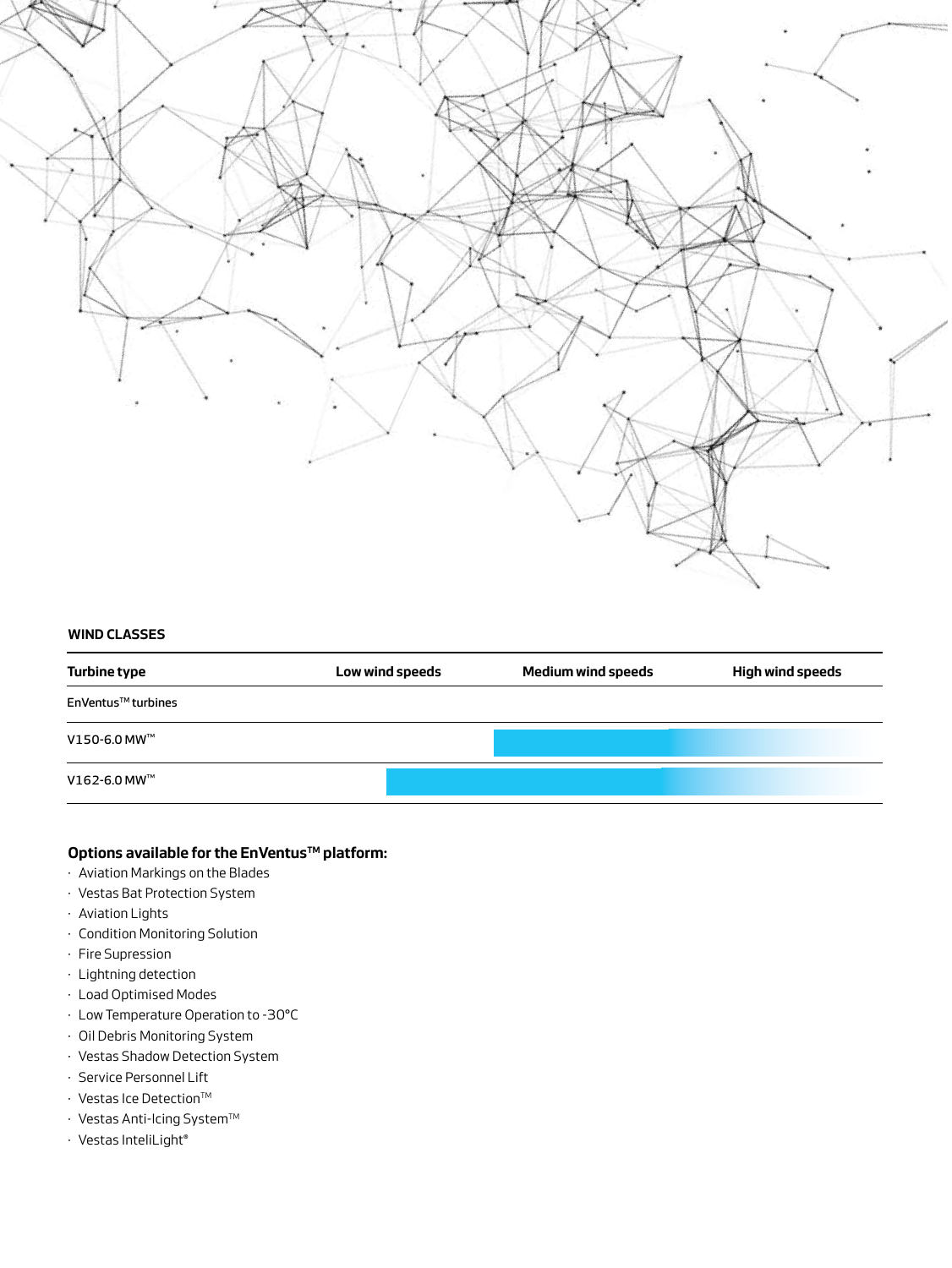

#### **WIND CLASSES**

| Turbine type       | Low wind speeds | <b>Medium wind speeds</b> | <b>High wind speeds</b> |
|--------------------|-----------------|---------------------------|-------------------------|
| EnVentus™ turbines |                 |                           |                         |
| V150-6.0 MW™       |                 |                           |                         |
| V162-6.0 MW™       |                 |                           |                         |

### **Options available for the EnVentus™ platform:**

- · Aviation Markings on the Blades
- · Vestas Bat Protection System
- · Aviation Lights
- · Condition Monitoring Solution
- · Fire Supression
- · Lightning detection
- · Load Optimised Modes
- · Low Temperature Operation to -30°C
- · Oil Debris Monitoring System
- · Vestas Shadow Detection System
- · Service Personnel Lift
- $\cdot$  Vestas Ice Detection<sup>™</sup>
- $\cdot$  Vestas Anti-Icing System<sup>TM</sup>
- · Vestas InteliLight®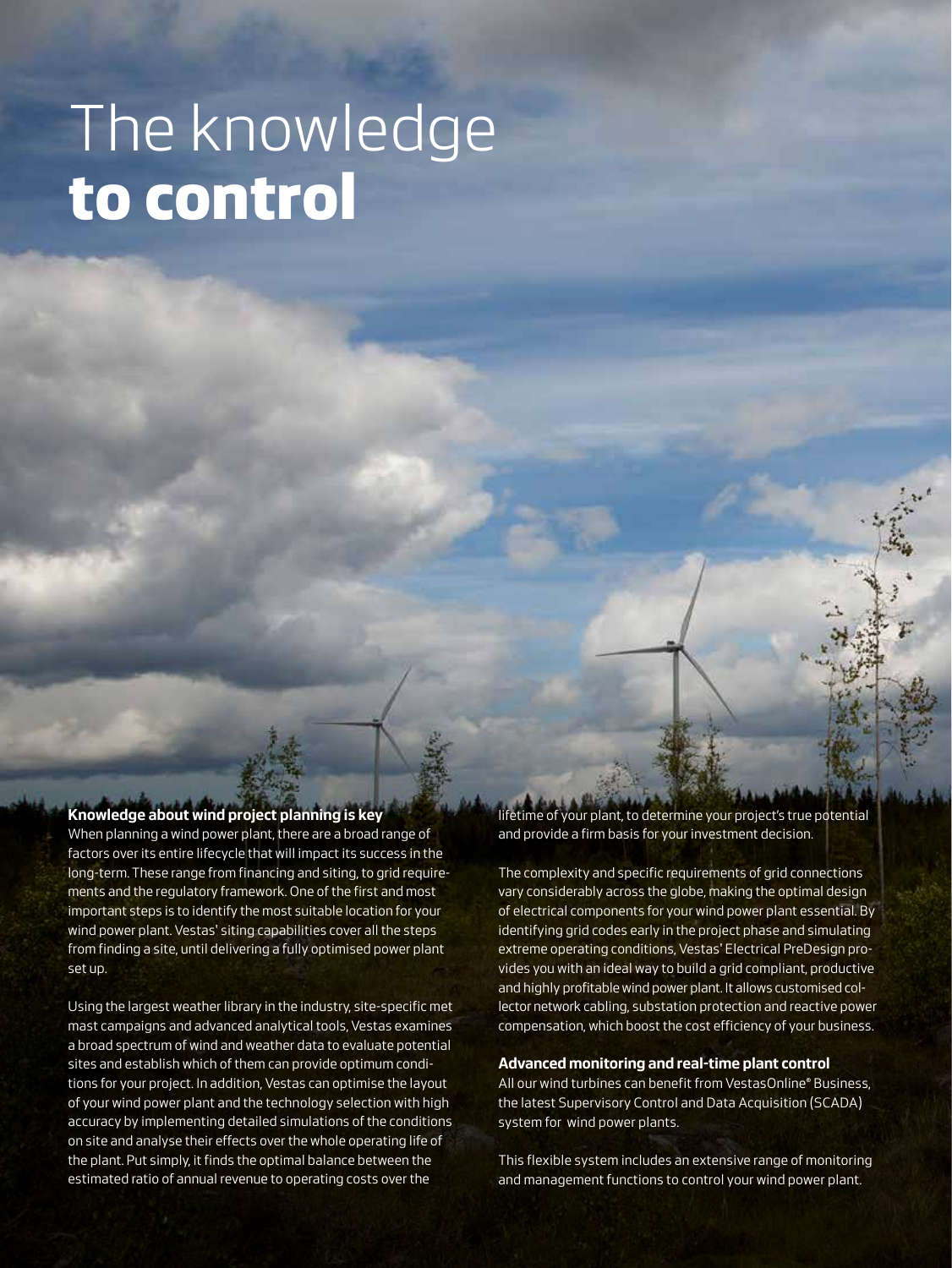# The knowledge **to control**

### **Knowledge about wind project planning is key**

When planning a wind power plant, there are a broad range of factors over its entire lifecycle that will impact its success in the long-term. These range from financing and siting, to grid requirements and the regulatory framework. One of the first and most important steps is to identify the most suitable location for your wind power plant. Vestas' siting capabilities cover all the steps from finding a site, until delivering a fully optimised power plant set up.

Using the largest weather library in the industry, site-specific met mast campaigns and advanced analytical tools, Vestas examines a broad spectrum of wind and weather data to evaluate potential sites and establish which of them can provide optimum conditions for your project. In addition, Vestas can optimise the layout of your wind power plant and the technology selection with high accuracy by implementing detailed simulations of the conditions on site and analyse their effects over the whole operating life of the plant. Put simply, it finds the optimal balance between the estimated ratio of annual revenue to operating costs over the

lifetime of your plant, to determine your project's true potential and provide a firm basis for your investment decision.

The complexity and specific requirements of grid connections vary considerably across the globe, making the optimal design of electrical components for your wind power plant essential. By identifying grid codes early in the project phase and simulating extreme operating conditions, Vestas' Electrical PreDesign provides you with an ideal way to build a grid compliant, productive and highly profitable wind power plant. It allows customised collector network cabling, substation protection and reactive power compensation, which boost the cost efficiency of your business.

#### **Advanced monitoring and real-time plant control**

All our wind turbines can benefit from VestasOnline® Business, the latest Supervisory Control and Data Acquisition (SCADA) system for wind power plants.

This flexible system includes an extensive range of monitoring and management functions to control your wind power plant.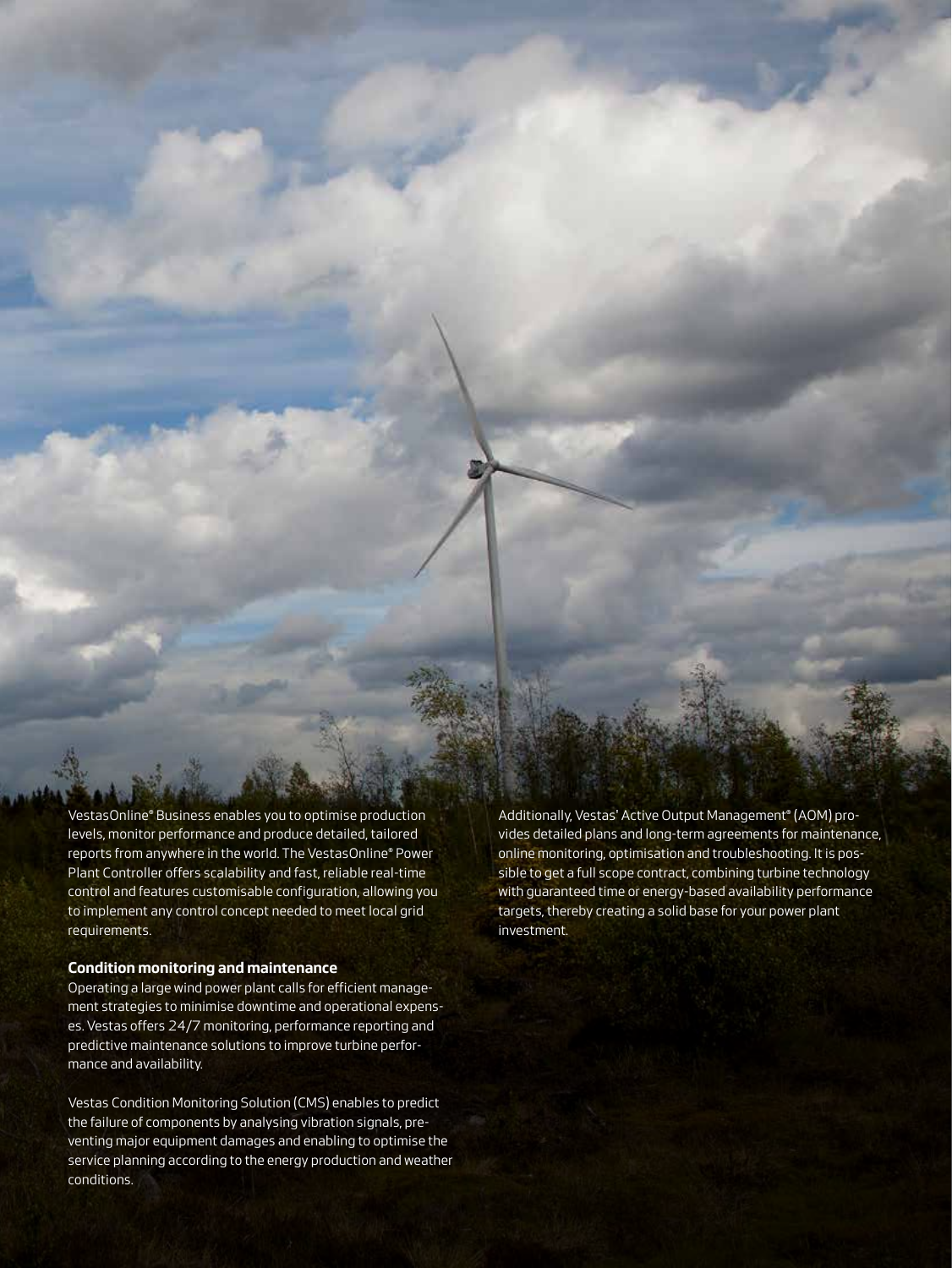VestasOnline® Business enables you to optimise production levels, monitor performance and produce detailed, tailored reports from anywhere in the world. The VestasOnline® Power Plant Controller offers scalability and fast, reliable real-time control and features customisable configuration, allowing you to implement any control concept needed to meet local grid requirements.

#### **Condition monitoring and maintenance**

Operating a large wind power plant calls for efficient management strategies to minimise downtime and operational expenses. Vestas offers 24/7 monitoring, performance reporting and predictive maintenance solutions to improve turbine performance and availability.

Vestas Condition Monitoring Solution (CMS) enables to predict the failure of components by analysing vibration signals, preventing major equipment damages and enabling to optimise the service planning according to the energy production and weather conditions.

Additionally, Vestas' Active Output Management® (AOM) provides detailed plans and long-term agreements for maintenance, online monitoring, optimisation and troubleshooting. It is possible to get a full scope contract, combining turbine technology with guaranteed time or energy-based availability performance targets, thereby creating a solid base for your power plant investment.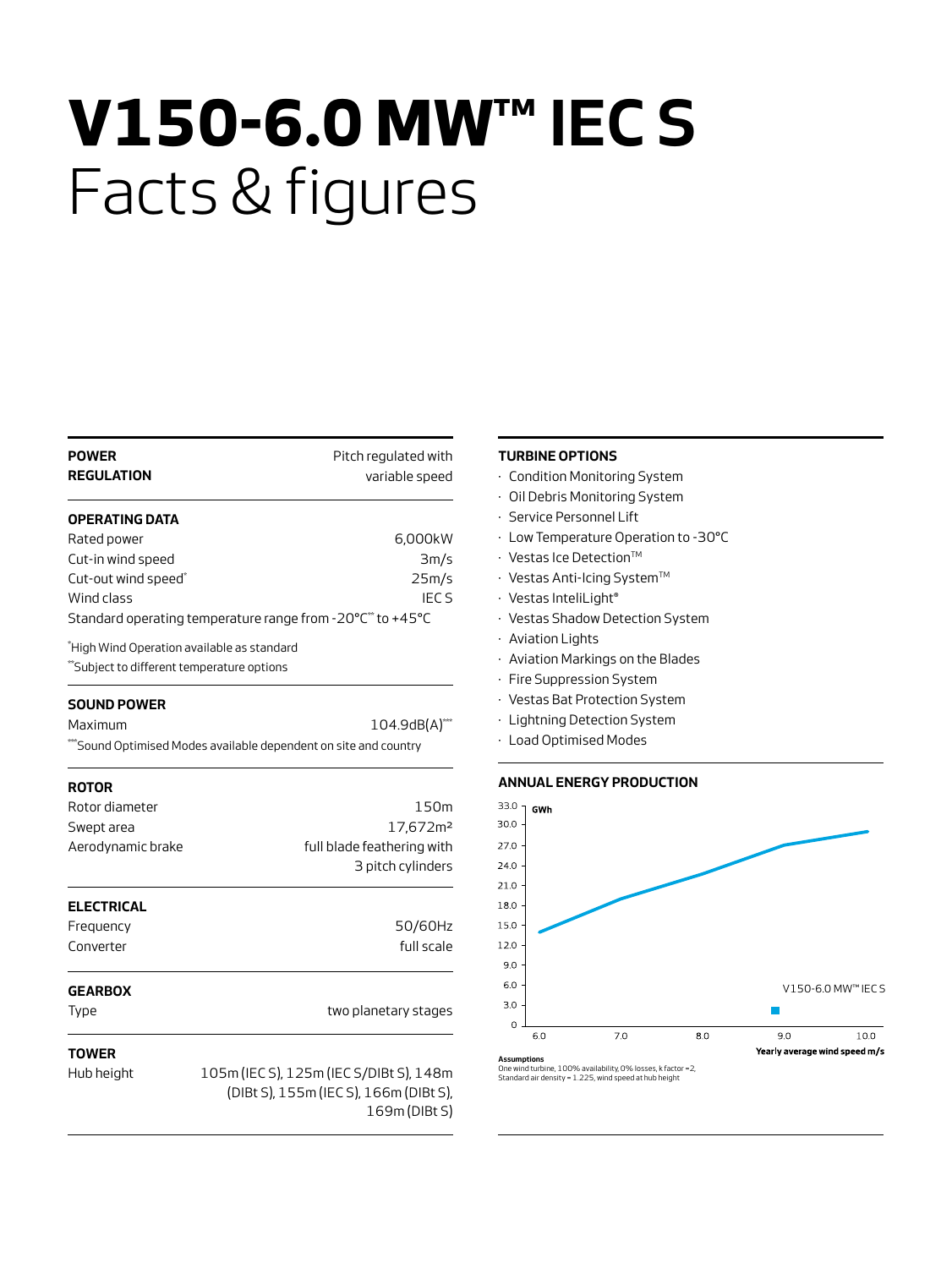# **V150-6.0 MW™ IEC S**  Facts & figures

| <b>POWER</b><br><b>REGULATION</b>                                                       | Pitch regulated with<br>variable speed                                                           |
|-----------------------------------------------------------------------------------------|--------------------------------------------------------------------------------------------------|
| <b>OPERATING DATA</b>                                                                   |                                                                                                  |
| Rated power                                                                             | 6,000kW                                                                                          |
| Cut-in wind speed                                                                       | 3m/s                                                                                             |
| Cut-out wind speed*                                                                     | 25m/s                                                                                            |
| Wind class                                                                              | <b>IECS</b>                                                                                      |
|                                                                                         | Standard operating temperature range from -20°C** to +45°C                                       |
| *High Wind Operation available as standard<br>Subject to different temperature options* |                                                                                                  |
| <b>SOUND POWER</b>                                                                      |                                                                                                  |
| Maximum                                                                                 | $104.9$ dB(A) $^{***}$                                                                           |
|                                                                                         | "Sound Optimised Modes available dependent on site and country                                   |
| <b>ROTOR</b>                                                                            |                                                                                                  |
| Rotor diameter                                                                          | 150m                                                                                             |
| Swept area                                                                              | 17,672m <sup>2</sup>                                                                             |
| Aerodynamic brake                                                                       | full blade feathering with                                                                       |
|                                                                                         | 3 pitch cylinders                                                                                |
| <b>ELECTRICAL</b>                                                                       |                                                                                                  |
| Frequency                                                                               | 50/60Hz                                                                                          |
| Converter                                                                               | full scale                                                                                       |
| <b>GEARBOX</b>                                                                          |                                                                                                  |
| Type                                                                                    | two planetary stages                                                                             |
|                                                                                         |                                                                                                  |
| <b>TOWER</b>                                                                            |                                                                                                  |
| Hub height                                                                              | 105m (IECS), 125m (IECS/DIBt S), 148m<br>(DIBt S), 155m (IEC S), 166m (DIBt S),<br>169m (DIBt S) |

#### **TURBINE OPTIONS**

- · Condition Monitoring System
- · Oil Debris Monitoring System
- · Service Personnel Lift
- · Low Temperature Operation to -30°C
- $\cdot$  Vestas Ice Detection<sup>TM</sup>
- · Vestas Anti-Icing SystemTM
- · Vestas InteliLight®
- · Vestas Shadow Detection System
- · Aviation Lights
- · Aviation Markings on the Blades
- · Fire Suppression System
- · Vestas Bat Protection System
- · Lightning Detection System
- · Load Optimised Modes

#### **ANNUAL ENERGY PRODUCTION**

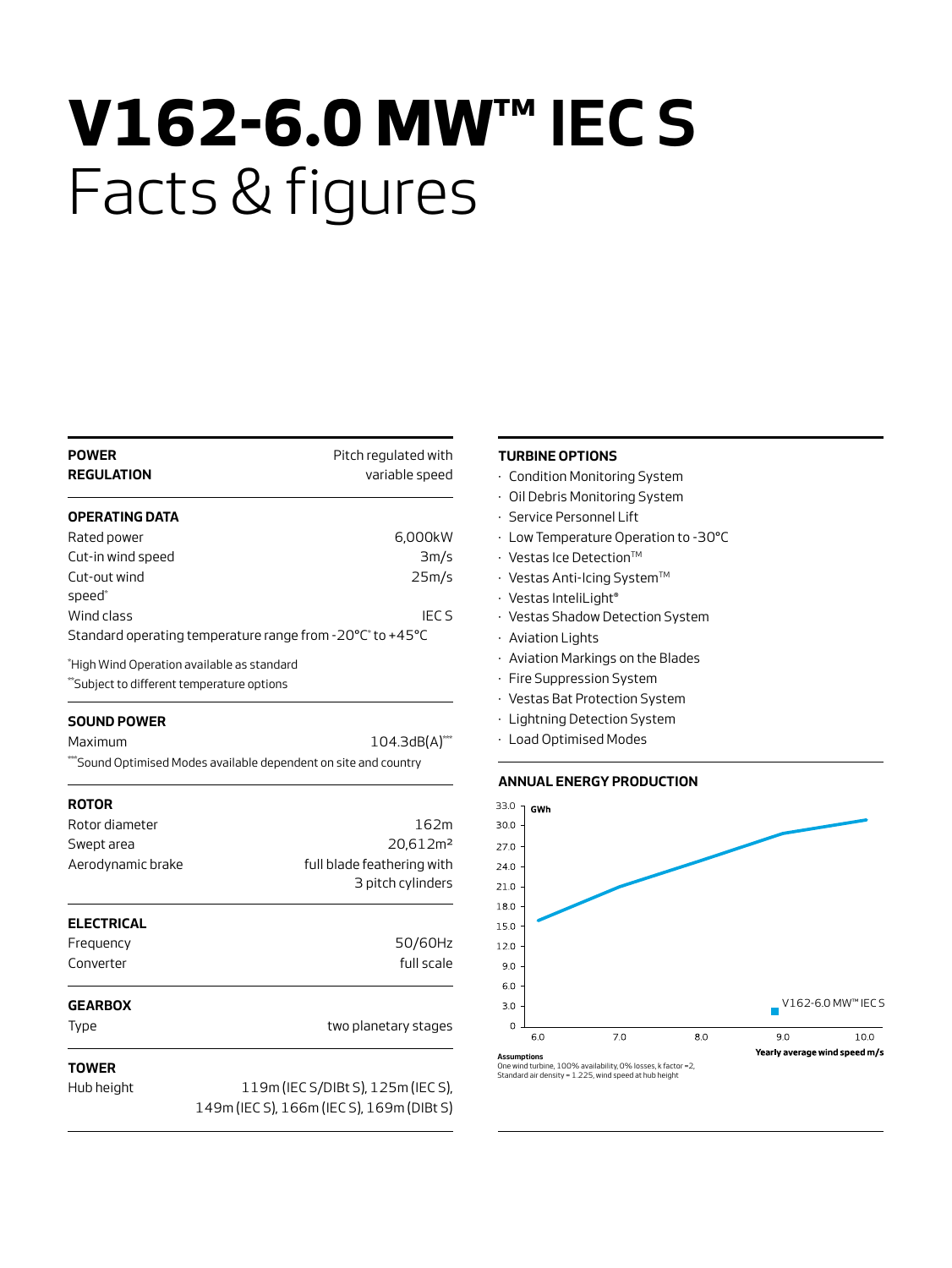# **V162-6.0 MW™ IEC S**  Facts & figures

| <b>POWER</b><br><b>REGULATION</b>                                                       | Pitch regulated with<br>variable speed                         |
|-----------------------------------------------------------------------------------------|----------------------------------------------------------------|
| OPERATING DATA                                                                          |                                                                |
| Rated power                                                                             | 6,000kW                                                        |
| Cut-in wind speed                                                                       | 3m/s                                                           |
| Cut-out wind<br>speed*                                                                  | 25m/s                                                          |
| Wind class                                                                              | <b>IECS</b>                                                    |
|                                                                                         | Standard operating temperature range from -20°C* to +45°C      |
| "High Wind Operation available as standard<br>"Subject to different temperature options |                                                                |
| <b>SOUND POWER</b>                                                                      |                                                                |
| Maximum                                                                                 | 104.3dB(A)***                                                  |
|                                                                                         | "Sound Optimised Modes available dependent on site and country |
| <b>ROTOR</b>                                                                            |                                                                |
| Rotor diameter                                                                          | 162m                                                           |
| Swept area                                                                              | 20,612m <sup>2</sup>                                           |
| Aerodynamic brake                                                                       | full blade feathering with                                     |
|                                                                                         | 3 pitch cylinders                                              |
| <b>ELECTRICAL</b>                                                                       |                                                                |
| Frequency                                                                               | 50/60Hz                                                        |
| Converter                                                                               | full scale                                                     |
| <b>GEARBOX</b>                                                                          |                                                                |
| Type                                                                                    | two planetary stages                                           |
| TOWER                                                                                   |                                                                |
| Hub height                                                                              | 119m (IEC S/DIBt S), 125m (IEC S),                             |
|                                                                                         | 149m (IEC S), 166m (IEC S), 169m (DIBt S)                      |

#### **TURBINE OPTIONS**

- · Condition Monitoring System
- · Oil Debris Monitoring System
- · Service Personnel Lift
- · Low Temperature Operation to -30°C
- $\cdot$  Vestas Ice Detection<sup>TM</sup>
- $\cdot$  Vestas Anti-Icing System<sup>TM</sup>
- · Vestas InteliLight®
- · Vestas Shadow Detection System
- · Aviation Lights
- · Aviation Markings on the Blades
- · Fire Suppression System
- · Vestas Bat Protection System
- · Lightning Detection System
- · Load Optimised Modes

#### **ANNUAL ENERGY PRODUCTION**



Standard air density = 1.225, wind speed at hub height